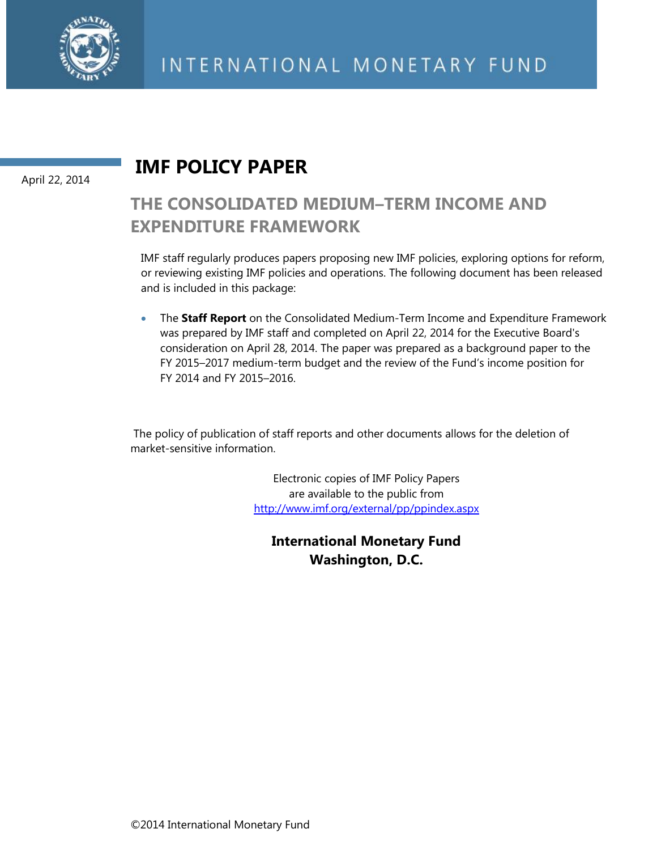

#### April 22, 2014

### **IMF POLICY PAPER**

### **THE CONSOLIDATED MEDIUM–TERM INCOME AND EXPENDITURE FRAMEWORK**

IMF staff regularly produces papers proposing new IMF policies, exploring options for reform, or reviewing existing IMF policies and operations. The following document has been released and is included in this package:

 The **Staff Report** on the Consolidated Medium-Term Income and Expenditure Framework was prepared by IMF staff and completed on April 22, 2014 for the Executive Board's consideration on April 28, 2014. The paper was prepared as a background paper to the FY 2015–2017 medium-term budget and the review of the Fund's income position for FY 2014 and FY 2015–2016.

 The policy of publication of staff reports and other documents allows for the deletion of market-sensitive information.

> Electronic copies of IMF Policy Papers are available to the public from <http://www.imf.org/external/pp/ppindex.aspx>

**International Monetary Fund Washington, D.C.**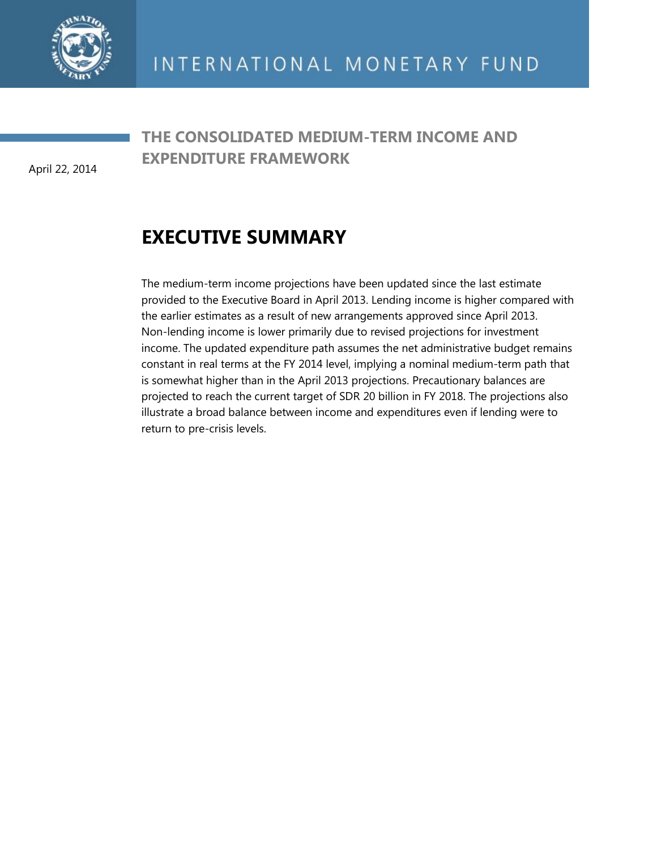

April 22, 2014

### **THE CONSOLIDATED MEDIUM-TERM INCOME AND EXPENDITURE FRAMEWORK**

## **EXECUTIVE SUMMARY**

The medium-term income projections have been updated since the last estimate provided to the Executive Board in April 2013. Lending income is higher compared with the earlier estimates as a result of new arrangements approved since April 2013. Non-lending income is lower primarily due to revised projections for investment income. The updated expenditure path assumes the net administrative budget remains constant in real terms at the FY 2014 level, implying a nominal medium-term path that is somewhat higher than in the April 2013 projections. Precautionary balances are projected to reach the current target of SDR 20 billion in FY 2018. The projections also illustrate a broad balance between income and expenditures even if lending were to return to pre-crisis levels.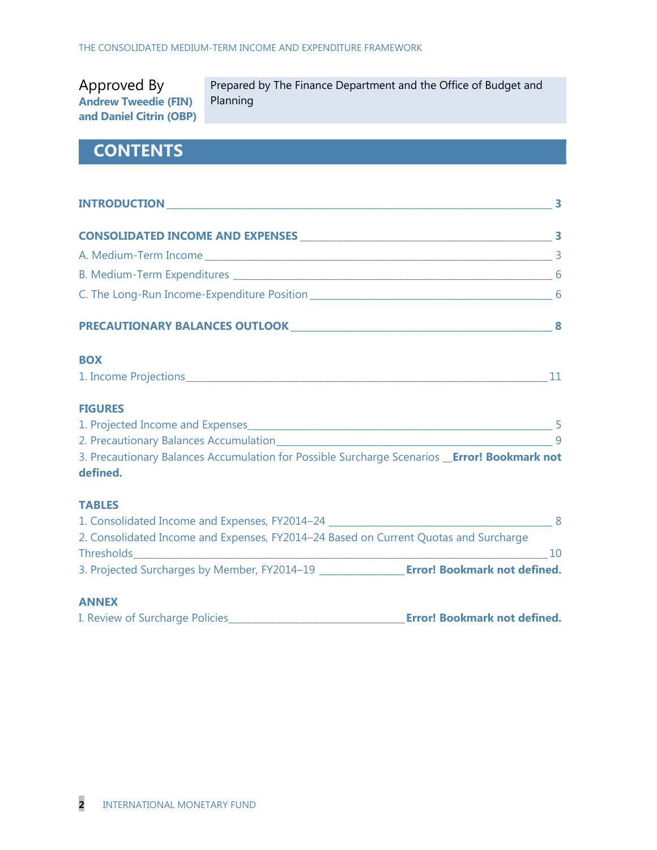Approved By **Andrew Tweedie (FIN) and Daniel Citrin (OBP)** Prepared by The Finance Department and the Office of Budget and Planning

### **CONTENTS**

| INTRODUCTION 3                                                                                             |    |
|------------------------------------------------------------------------------------------------------------|----|
|                                                                                                            |    |
|                                                                                                            |    |
|                                                                                                            |    |
|                                                                                                            |    |
|                                                                                                            |    |
| <b>BOX</b>                                                                                                 |    |
|                                                                                                            |    |
| <b>FIGURES</b>                                                                                             |    |
|                                                                                                            |    |
|                                                                                                            |    |
| 3. Precautionary Balances Accumulation for Possible Surcharge Scenarios __ Error! Bookmark not<br>defined. |    |
| <b>TABLES</b>                                                                                              |    |
|                                                                                                            |    |
| 2. Consolidated Income and Expenses, FY2014-24 Based on Current Quotas and Surcharge                       |    |
|                                                                                                            | 10 |
|                                                                                                            |    |
| <b>ANNEX</b>                                                                                               |    |

I. Review of Surcharge Policies\_\_\_\_\_\_\_\_\_\_\_\_\_\_\_\_\_\_\_\_\_\_\_\_\_\_\_\_\_\_\_\_\_\_\_\_\_**Error! Bookmark not defined.**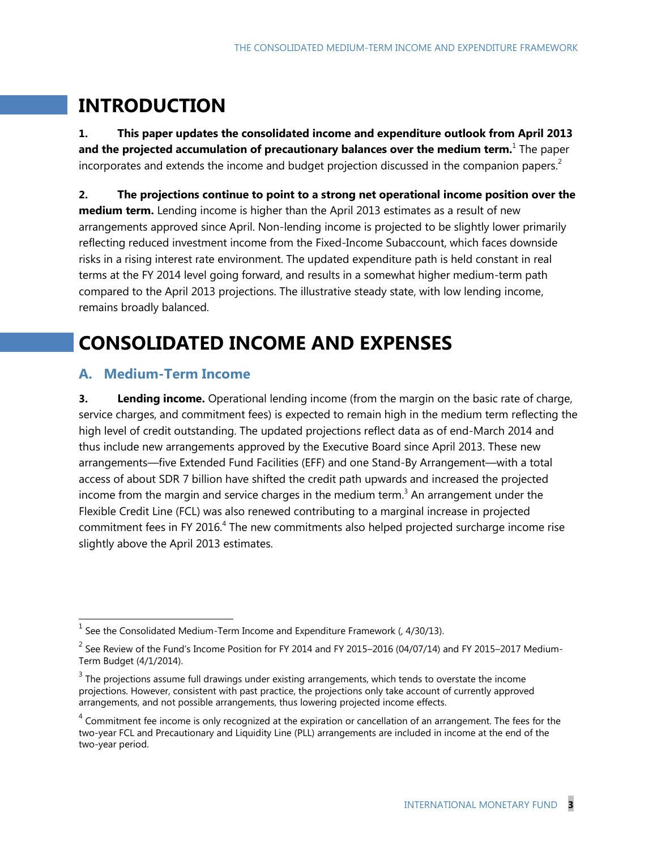## **INTRODUCTION**

**1. This paper updates the consolidated income and expenditure outlook from April 2013 and the projected accumulation of precautionary balances over the medium term.**<sup>1</sup> The paper incorporates and extends the income and budget projection discussed in the companion papers.<sup>2</sup>

**2. The projections continue to point to a strong net operational income position over the medium term.** Lending income is higher than the April 2013 estimates as a result of new arrangements approved since April. Non-lending income is projected to be slightly lower primarily reflecting reduced investment income from the Fixed-Income Subaccount, which faces downside risks in a rising interest rate environment. The updated expenditure path is held constant in real terms at the FY 2014 level going forward, and results in a somewhat higher medium-term path compared to the April 2013 projections. The illustrative steady state, with low lending income, remains broadly balanced.

## **CONSOLIDATED INCOME AND EXPENSES**

#### **A. Medium-Term Income**

 $\overline{a}$ 

**3. Lending income.** Operational lending income (from the margin on the basic rate of charge, service charges, and commitment fees) is expected to remain high in the medium term reflecting the high level of credit outstanding. The updated projections reflect data as of end-March 2014 and thus include new arrangements approved by the Executive Board since April 2013. These new arrangements—five Extended Fund Facilities (EFF) and one Stand-By Arrangement—with a total access of about SDR 7 billion have shifted the credit path upwards and increased the projected income from the margin and service charges in the medium term.<sup>3</sup> An arrangement under the Flexible Credit Line (FCL) was also renewed contributing to a marginal increase in projected commitment fees in FY 2016.<sup>4</sup> The new commitments also helped projected surcharge income rise slightly above the April 2013 estimates.

 $<sup>1</sup>$  See the Consolidated Medium-Term Income and Expenditure Framework (, 4/30/13).</sup>

 $^2$  See Review of the Fund's Income Position for FY 2014 and FY 2015–2016 (04/07/14) and FY 2015–2017 Medium-Term Budget (4/1/2014).

 $3$  The projections assume full drawings under existing arrangements, which tends to overstate the income projections. However, consistent with past practice, the projections only take account of currently approved arrangements, and not possible arrangements, thus lowering projected income effects.

 $4$  Commitment fee income is only recognized at the expiration or cancellation of an arrangement. The fees for the two-year FCL and Precautionary and Liquidity Line (PLL) arrangements are included in income at the end of the two-year period.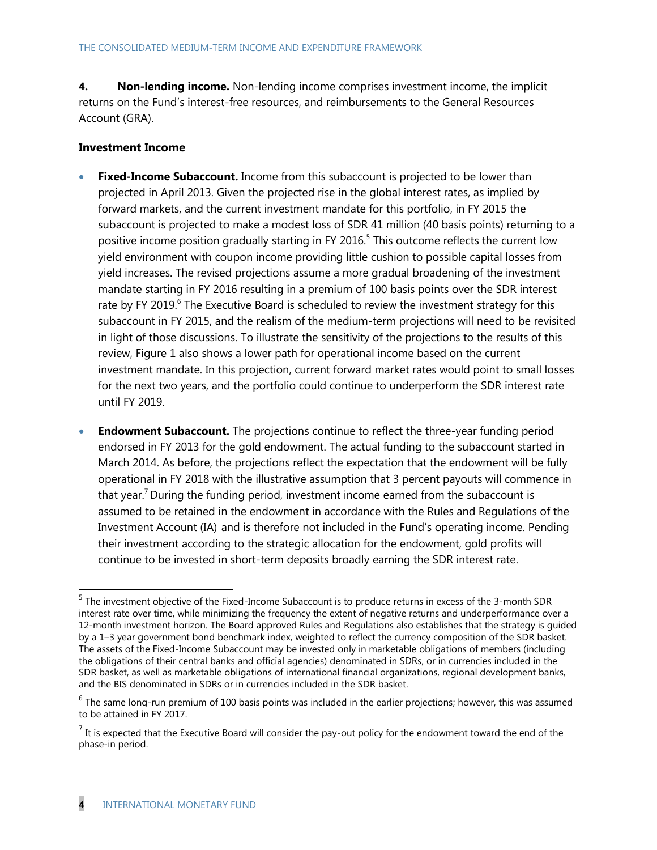**4. Non-lending income.** Non-lending income comprises investment income, the implicit returns on the Fund's interest-free resources, and reimbursements to the General Resources Account (GRA).

#### **Investment Income**

- **Fixed-Income Subaccount.** Income from this subaccount is projected to be lower than projected in April 2013. Given the projected rise in the global interest rates, as implied by forward markets, and the current investment mandate for this portfolio, in FY 2015 the subaccount is projected to make a modest loss of SDR 41 million (40 basis points) returning to a positive income position gradually starting in FY 2016.<sup>5</sup> This outcome reflects the current low yield environment with coupon income providing little cushion to possible capital losses from yield increases. The revised projections assume a more gradual broadening of the investment mandate starting in FY 2016 resulting in a premium of 100 basis points over the SDR interest rate by FY 2019.<sup>6</sup> The Executive Board is scheduled to review the investment strategy for this subaccount in FY 2015, and the realism of the medium-term projections will need to be revisited in light of those discussions. To illustrate the sensitivity of the projections to the results of this review, Figure 1 also shows a lower path for operational income based on the current investment mandate. In this projection, current forward market rates would point to small losses for the next two years, and the portfolio could continue to underperform the SDR interest rate until FY 2019.
- **Endowment Subaccount.** The projections continue to reflect the three-year funding period endorsed in FY 2013 for the gold endowment. The actual funding to the subaccount started in March 2014. As before, the projections reflect the expectation that the endowment will be fully operational in FY 2018 with the illustrative assumption that 3 percent payouts will commence in that year.<sup>7</sup> During the funding period, investment income earned from the subaccount is assumed to be retained in the endowment in accordance with the Rules and Regulations of the Investment Account (IA) and is therefore not included in the Fund's operating income. Pending their investment according to the strategic allocation for the endowment, gold profits will continue to be invested in short-term deposits broadly earning the SDR interest rate.

 5 The investment objective of the Fixed-Income Subaccount is to produce returns in excess of the 3-month SDR interest rate over time, while minimizing the frequency the extent of negative returns and underperformance over a 12-month investment horizon. The Board approved Rules and Regulations also establishes that the strategy is guided by a 1–3 year government bond benchmark index, weighted to reflect the currency composition of the SDR basket. The assets of the Fixed-Income Subaccount may be invested only in marketable obligations of members (including the obligations of their central banks and official agencies) denominated in SDRs, or in currencies included in the SDR basket, as well as marketable obligations of international financial organizations, regional development banks, and the BIS denominated in SDRs or in currencies included in the SDR basket.

 $<sup>6</sup>$  The same long-run premium of 100 basis points was included in the earlier projections; however, this was assumed</sup> to be attained in FY 2017.

 $<sup>7</sup>$  It is expected that the Executive Board will consider the pay-out policy for the endowment toward the end of the</sup> phase-in period.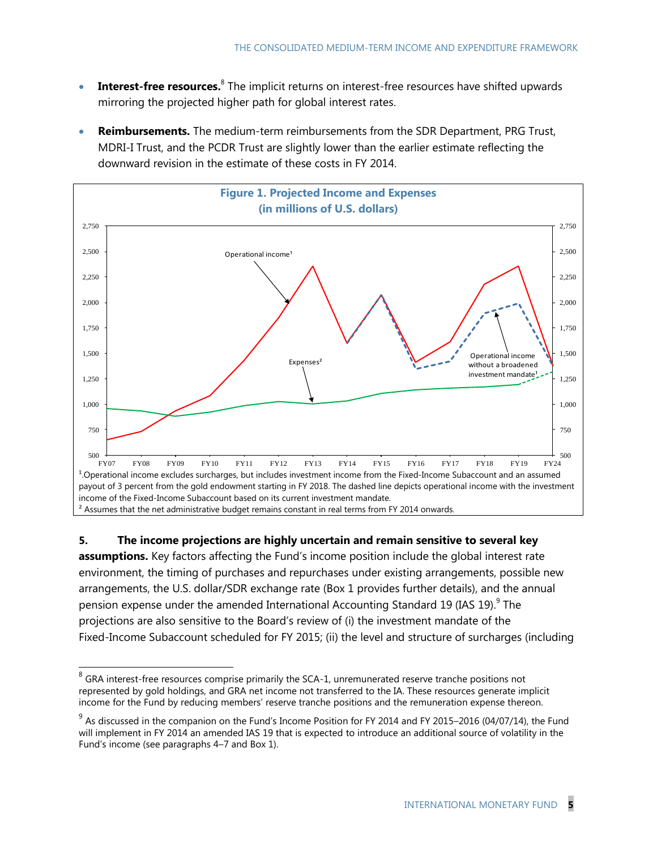- **Interest-free resources.**<sup>8</sup> The implicit returns on interest-free resources have shifted upwards mirroring the projected higher path for global interest rates.
- **Reimbursements.** The medium-term reimbursements from the SDR Department, PRG Trust, MDRI-I Trust, and the PCDR Trust are slightly lower than the earlier estimate reflecting the downward revision in the estimate of these costs in FY 2014.



**5. The income projections are highly uncertain and remain sensitive to several key assumptions.** Key factors affecting the Fund's income position include the global interest rate environment, the timing of purchases and repurchases under existing arrangements, possible new arrangements, the U.S. dollar/SDR exchange rate (Box 1 provides further details), and the annual pension expense under the amended International Accounting Standard 19 (IAS 19). $^9$  The projections are also sensitive to the Board's review of (i) the investment mandate of the Fixed-Income Subaccount scheduled for FY 2015; (ii) the level and structure of surcharges (including

 $^8$  GRA interest-free resources comprise primarily the SCA-1, unremunerated reserve tranche positions not represented by gold holdings, and GRA net income not transferred to the IA. These resources generate implicit income for the Fund by reducing members' reserve tranche positions and the remuneration expense thereon.

 $^9$  As discussed in the companion on the Fund's Income Position for FY 2014 and FY 2015–2016 (04/07/14), the Fund will implement in FY 2014 an amended IAS 19 that is expected to introduce an additional source of volatility in the Fund's income (see paragraphs 4–7 and Box 1).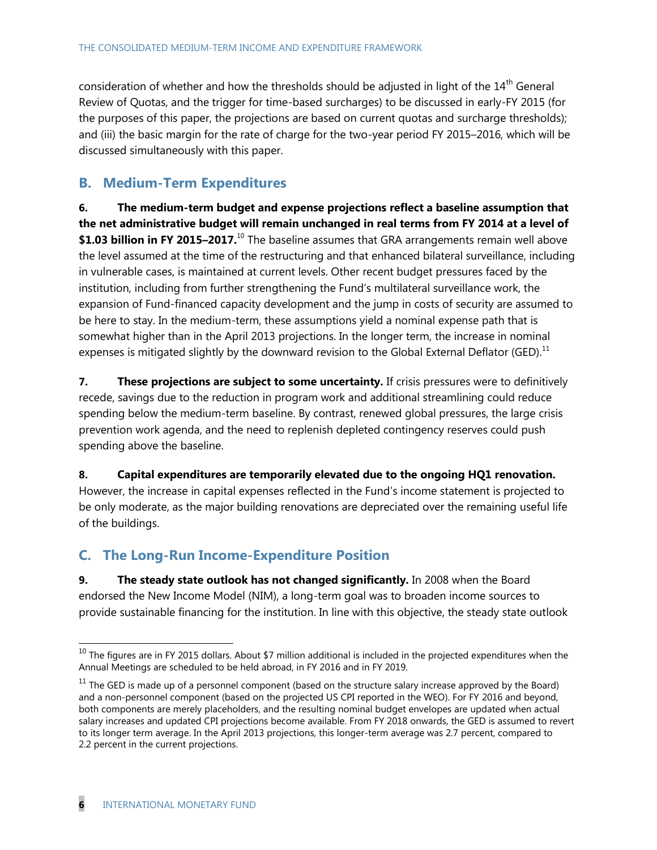consideration of whether and how the thresholds should be adjusted in light of the 14<sup>th</sup> General Review of Quotas, and the trigger for time-based surcharges) to be discussed in early-FY 2015 (for the purposes of this paper, the projections are based on current quotas and surcharge thresholds); and (iii) the basic margin for the rate of charge for the two-year period FY 2015–2016, which will be discussed simultaneously with this paper.

#### **B. Medium-Term Expenditures**

**6. The medium-term budget and expense projections reflect a baseline assumption that the net administrative budget will remain unchanged in real terms from FY 2014 at a level of \$1.03 billion in FY 2015–2017.**<sup>10</sup> The baseline assumes that GRA arrangements remain well above the level assumed at the time of the restructuring and that enhanced bilateral surveillance, including in vulnerable cases, is maintained at current levels. Other recent budget pressures faced by the institution, including from further strengthening the Fund's multilateral surveillance work, the expansion of Fund-financed capacity development and the jump in costs of security are assumed to be here to stay. In the medium-term, these assumptions yield a nominal expense path that is somewhat higher than in the April 2013 projections. In the longer term, the increase in nominal expenses is mitigated slightly by the downward revision to the Global External Deflator (GED).<sup>11</sup>

**7. These projections are subject to some uncertainty.** If crisis pressures were to definitively recede, savings due to the reduction in program work and additional streamlining could reduce spending below the medium-term baseline. By contrast, renewed global pressures, the large crisis prevention work agenda, and the need to replenish depleted contingency reserves could push spending above the baseline.

**8. Capital expenditures are temporarily elevated due to the ongoing HQ1 renovation.** However, the increase in capital expenses reflected in the Fund's income statement is projected to be only moderate, as the major building renovations are depreciated over the remaining useful life of the buildings.

#### **C. The Long-Run Income-Expenditure Position**

**9. The steady state outlook has not changed significantly.** In 2008 when the Board endorsed the New Income Model (NIM), a long-term goal was to broaden income sources to provide sustainable financing for the institution. In line with this objective, the steady state outlook

 $^{10}$  The figures are in FY 2015 dollars. About \$7 million additional is included in the projected expenditures when the Annual Meetings are scheduled to be held abroad, in FY 2016 and in FY 2019.

 $11$  The GED is made up of a personnel component (based on the structure salary increase approved by the Board) and a non-personnel component (based on the projected US CPI reported in the WEO). For FY 2016 and beyond, both components are merely placeholders, and the resulting nominal budget envelopes are updated when actual salary increases and updated CPI projections become available. From FY 2018 onwards, the GED is assumed to revert to its longer term average. In the April 2013 projections, this longer-term average was 2.7 percent, compared to 2.2 percent in the current projections.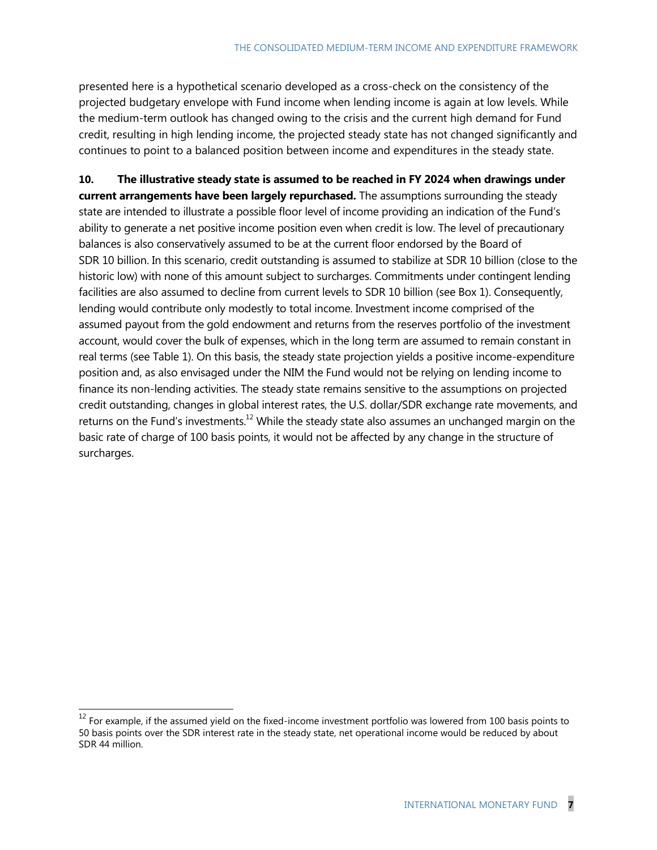presented here is a hypothetical scenario developed as a cross-check on the consistency of the projected budgetary envelope with Fund income when lending income is again at low levels. While the medium-term outlook has changed owing to the crisis and the current high demand for Fund credit, resulting in high lending income, the projected steady state has not changed significantly and continues to point to a balanced position between income and expenditures in the steady state.

**10. The illustrative steady state is assumed to be reached in FY 2024 when drawings under current arrangements have been largely repurchased.** The assumptions surrounding the steady state are intended to illustrate a possible floor level of income providing an indication of the Fund's ability to generate a net positive income position even when credit is low. The level of precautionary balances is also conservatively assumed to be at the current floor endorsed by the Board of SDR 10 billion. In this scenario, credit outstanding is assumed to stabilize at SDR 10 billion (close to the historic low) with none of this amount subject to surcharges. Commitments under contingent lending facilities are also assumed to decline from current levels to SDR 10 billion (see Box 1). Consequently, lending would contribute only modestly to total income. Investment income comprised of the assumed payout from the gold endowment and returns from the reserves portfolio of the investment account, would cover the bulk of expenses, which in the long term are assumed to remain constant in real terms (see Table 1). On this basis, the steady state projection yields a positive income-expenditure position and, as also envisaged under the NIM the Fund would not be relying on lending income to finance its non-lending activities. The steady state remains sensitive to the assumptions on projected credit outstanding, changes in global interest rates, the U.S. dollar/SDR exchange rate movements, and returns on the Fund's investments.<sup>12</sup> While the steady state also assumes an unchanged margin on the basic rate of charge of 100 basis points, it would not be affected by any change in the structure of surcharges.

 $12$  For example, if the assumed yield on the fixed-income investment portfolio was lowered from 100 basis points to 50 basis points over the SDR interest rate in the steady state, net operational income would be reduced by about SDR 44 million.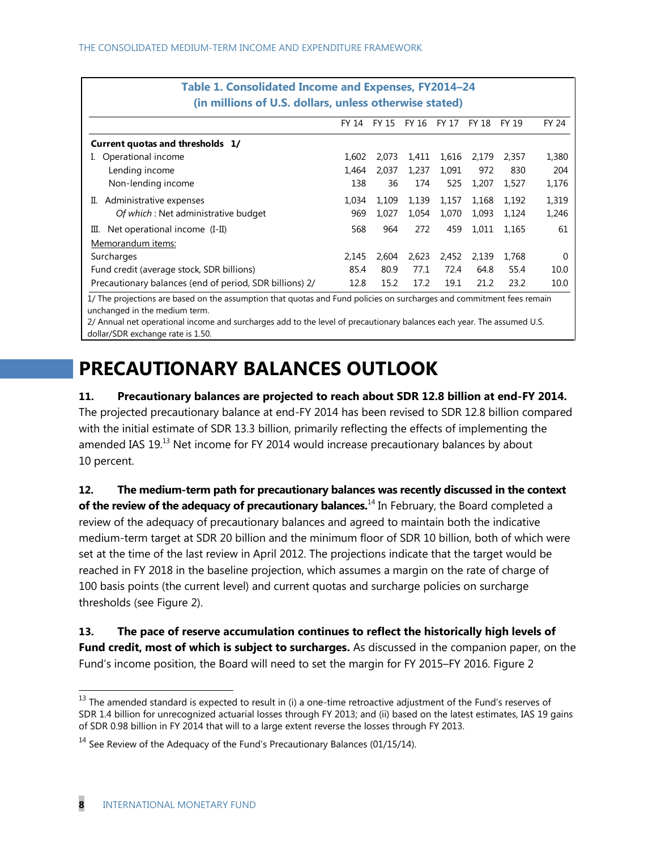| Table 1. Consolidated Income and Expenses, FY2014-24                                                                  |       |       |             |       |       |       |              |
|-----------------------------------------------------------------------------------------------------------------------|-------|-------|-------------|-------|-------|-------|--------------|
| (in millions of U.S. dollars, unless otherwise stated)                                                                |       |       |             |       |       |       |              |
|                                                                                                                       | FY 14 | FY 15 | FY 16 FY 17 |       | FY 18 | FY 19 | <b>FY 24</b> |
| Current quotas and thresholds 1/                                                                                      |       |       |             |       |       |       |              |
| Operational income                                                                                                    | 1,602 | 2.073 | 1,411       | 1,616 | 2,179 | 2,357 | 1,380        |
| Lending income                                                                                                        | 1.464 | 2.037 | 1,237       | 1.091 | 972   | 830   | 204          |
| Non-lending income                                                                                                    | 138   | 36    | 174         | 525   | 1,207 | 1.527 | 1,176        |
| Administrative expenses<br>Ш.                                                                                         | 1.034 | 1,109 | 1,139       | 1,157 | 1,168 | 1,192 | 1,319        |
| Of which: Net administrative budget                                                                                   | 969   | 1,027 | 1,054       | 1,070 | 1,093 | 1,124 | 1,246        |
| Net operational income (I-II)<br>Ш.                                                                                   |       | 964   | 272         | 459   | 1,011 | 1.165 | 61           |
| Memorandum items:                                                                                                     |       |       |             |       |       |       |              |
| Surcharges                                                                                                            |       | 2.604 | 2,623       | 2,452 | 2,139 | 1.768 | $\Omega$     |
| Fund credit (average stock, SDR billions)                                                                             | 85.4  | 80.9  | 77.1        | 72.4  | 64.8  | 55.4  | 10.0         |
| Precautionary balances (end of period, SDR billions) 2/                                                               | 12.8  | 15.2  | 17.2        | 19.1  | 21.2  | 23.2  | 10.0         |
| 1/ The projections are based on the assumption that quotas and Fund policies on surcharges and commitment fees remain |       |       |             |       |       |       |              |

unchanged in the medium term. 2/ Annual net operational income and surcharges add to the level of precautionary balances each year. The assumed U.S.

dollar/SDR exchange rate is 1.50.

## **PRECAUTIONARY BALANCES OUTLOOK**

#### **11. Precautionary balances are projected to reach about SDR 12.8 billion at end-FY 2014.**

The projected precautionary balance at end-FY 2014 has been revised to SDR 12.8 billion compared with the initial estimate of SDR 13.3 billion, primarily reflecting the effects of implementing the amended IAS  $19<sup>13</sup>$  Net income for FY 2014 would increase precautionary balances by about 10 percent.

**12. The medium-term path for precautionary balances was recently discussed in the context of the review of the adequacy of precautionary balances.**<sup>14</sup> In February, the Board completed a review of the adequacy of precautionary balances and agreed to maintain both the indicative medium-term target at SDR 20 billion and the minimum floor of SDR 10 billion, both of which were set at the time of the last review in April 2012. The projections indicate that the target would be reached in FY 2018 in the baseline projection, which assumes a margin on the rate of charge of 100 basis points (the current level) and current quotas and surcharge policies on surcharge thresholds (see Figure 2).

**13. The pace of reserve accumulation continues to reflect the historically high levels of**  Fund credit, most of which is subject to surcharges. As discussed in the companion paper, on the Fund's income position, the Board will need to set the margin for FY 2015–FY 2016. Figure 2

 $^{13}$  The amended standard is expected to result in (i) a one-time retroactive adjustment of the Fund's reserves of SDR 1.4 billion for unrecognized actuarial losses through FY 2013; and (ii) based on the latest estimates, IAS 19 gains of SDR 0.98 billion in FY 2014 that will to a large extent reverse the losses through FY 2013.

 $14$  See Review of the Adequacy of the Fund's Precautionary Balances (01/15/14).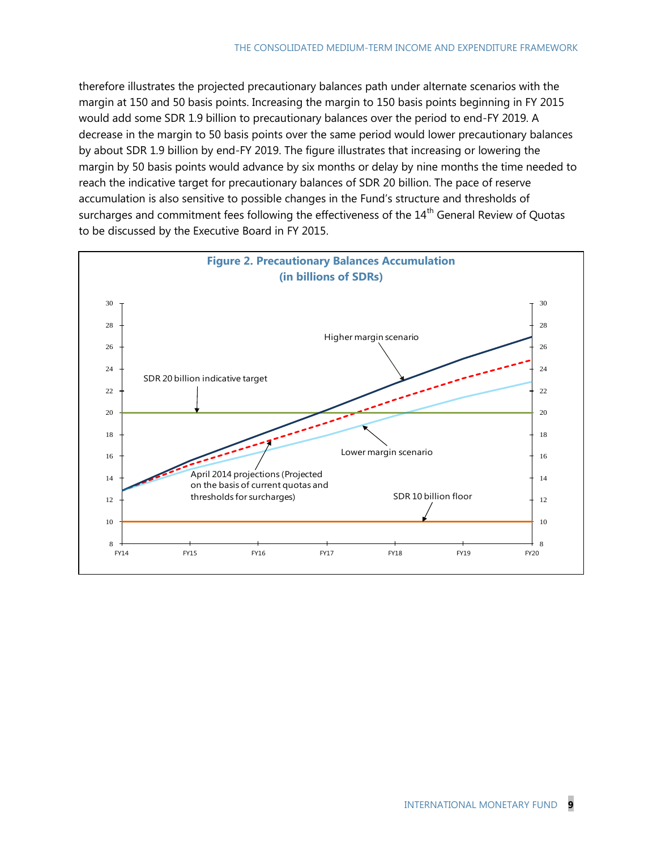therefore illustrates the projected precautionary balances path under alternate scenarios with the margin at 150 and 50 basis points. Increasing the margin to 150 basis points beginning in FY 2015 would add some SDR 1.9 billion to precautionary balances over the period to end-FY 2019. A decrease in the margin to 50 basis points over the same period would lower precautionary balances by about SDR 1.9 billion by end-FY 2019. The figure illustrates that increasing or lowering the margin by 50 basis points would advance by six months or delay by nine months the time needed to reach the indicative target for precautionary balances of SDR 20 billion. The pace of reserve accumulation is also sensitive to possible changes in the Fund's structure and thresholds of surcharges and commitment fees following the effectiveness of the 14<sup>th</sup> General Review of Quotas to be discussed by the Executive Board in FY 2015.

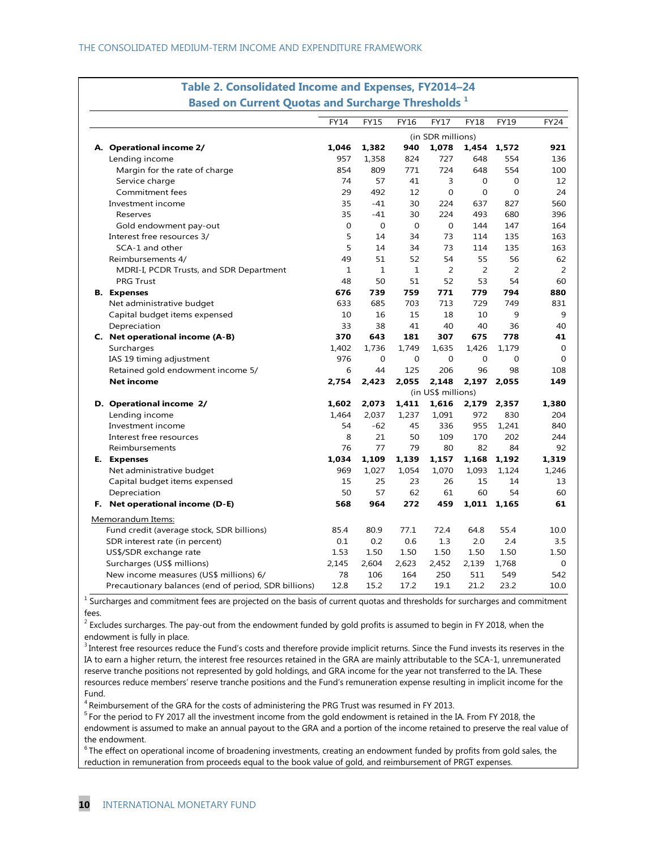|  |                                                      | <b>FY14</b>    | <b>FY15</b>  | <b>FY16</b>        | <b>FY17</b>       | <b>FY18</b> | FY19           | <b>FY24</b>  |
|--|------------------------------------------------------|----------------|--------------|--------------------|-------------------|-------------|----------------|--------------|
|  |                                                      |                |              |                    | (in SDR millions) |             |                |              |
|  | A. Operational income 2/                             | 1.046          | 1,382        | 940                | 1,078             |             | 1,454 1,572    | 921          |
|  | Lending income                                       | 957            | 1,358        | 824                | 727               | 648         | 554            | 136          |
|  | Margin for the rate of charge                        | 854            | 809          | 771                | 724               | 648         | 554            | 100          |
|  | Service charge                                       | 74             | 57           | 41                 | 3                 | 0           | 0              | 12           |
|  | Commitment fees                                      | 29             | 492          | 12                 | $\mathbf 0$       | $\mathbf 0$ | $\overline{0}$ | 24           |
|  | Investment income                                    | 35             | $-41$        | 30                 | 224               | 637         | 827            | 560          |
|  | Reserves                                             | 35             | $-41$        | 30                 | 224               | 493         | 680            | 396          |
|  | Gold endowment pay-out                               | $\overline{0}$ | $\Omega$     | $\overline{0}$     | $\Omega$          | 144         | 147            | 164          |
|  | Interest free resources 3/                           | 5              | 14           | 34                 | 73                | 114         | 135            | 163          |
|  | SCA-1 and other                                      | 5              | 14           | 34                 | 73                | 114         | 135            | 163          |
|  | Reimbursements 4/                                    | 49             | 51           | 52                 | 54                | 55          | 56             | 62           |
|  | MDRI-I, PCDR Trusts, and SDR Department              | $\mathbf 1$    | $\mathbf{1}$ | $\mathbf{1}$       | 2                 | 2           | $\overline{2}$ | 2            |
|  | <b>PRG Trust</b>                                     | 48             | 50           | 51                 | 52                | 53          | 54             | 60           |
|  | <b>B.</b> Expenses                                   | 676            | 739          | 759                | 771               | 779         | 794            | 880          |
|  | Net administrative budget                            | 633            | 685          | 703                | 713               | 729         | 749            | 831          |
|  | Capital budget items expensed                        | 10             | 16           | 15                 | 18                | 10          | 9              | 9            |
|  | Depreciation                                         | 33             | 38           | 41                 | 40                | 40          | 36             | 40           |
|  | C. Net operational income (A-B)                      | 370            | 643          | 181                | 307               | 675         | 778            | 41           |
|  | Surcharges                                           | 1,402          | 1.736        | 1.749              | 1,635             | 1,426       | 1.179          | 0            |
|  | IAS 19 timing adjustment                             | 976            | 0            | 0                  | $\mathbf 0$       | 0           | $\overline{0}$ | $\mathbf{O}$ |
|  | Retained gold endowment income 5/                    | 6              | 44           | 125                | 206               | 96          | 98             | 108          |
|  | <b>Net income</b>                                    | 2,754          | 2,423        | 2,055              | 2,148             | 2,197       | 2,055          | 149          |
|  |                                                      |                |              | (in US\$ millions) |                   |             |                |              |
|  | D. Operational income 2/                             | 1,602          | 2,073        | 1,411              | 1,616             | 2,179       | 2,357          | 1,380        |
|  | Lending income                                       | 1,464          | 2,037        | 1,237              | 1,091             | 972         | 830            | 204          |
|  | Investment income                                    | 54             | $-62$        | 45                 | 336               | 955         | 1,241          | 840          |
|  | Interest free resources                              | 8              | 21           | 50                 | 109               | 170         | 202            | 244          |
|  | Reimbursements                                       | 76             | 77           | 79                 | 80                | 82          | 84             | 92           |
|  | E. Expenses                                          | 1,034          | 1,109        | 1,139              | 1,157             | 1,168       | 1,192          | 1,319        |
|  | Net administrative budget                            | 969            | 1,027        | 1,054              | 1,070             | 1,093       | 1,124          | 1,246        |
|  | Capital budget items expensed                        | 15             | 25           | 23                 | 26                | 15          | 14             | 13           |
|  | Depreciation                                         | 50             | 57           | 62                 | 61                | 60          | 54             | 60           |
|  | F. Net operational income (D-E)                      | 568            | 964          | 272                | 459               | 1,011       | 1.165          | 61           |
|  | Memorandum Items:                                    |                |              |                    |                   |             |                |              |
|  | Fund credit (average stock, SDR billions)            | 85.4           | 80.9         | 77.1               | 72.4              | 64.8        | 55.4           | 10.0         |
|  | SDR interest rate (in percent)                       | 0.1            | 0.2          | 0.6                | 1.3               | 2.0         | 2.4            | 3.5          |
|  | US\$/SDR exchange rate                               | 1.53           | 1.50         | 1.50               | 1.50              | 1.50        | 1.50           | 1.50         |
|  | Surcharges (US\$ millions)                           | 2,145          | 2,604        | 2,623              | 2,452             | 2,139       | 1,768          | $\mathbf 0$  |
|  | New income measures (US\$ millions) 6/               | 78             | 106          | 164                | 250               | 511         | 549            | 542          |
|  | Precautionary balances (end of period, SDR billions) | 12.8           | 15.2         | 17.2               | 19.1              | 21.2        | 23.2           | 10.0         |

# **Table 2. Consolidated Income and Expenses, FY2014–24**

<sup>1</sup> Surcharges and commitment fees are projected on the basis of current quotas and thresholds for surcharges and commitment fees.

 $^2$  Excludes surcharges. The pay-out from the endowment funded by gold profits is assumed to begin in FY 2018, when the endowment is fully in place.

<sup>3</sup> Interest free resources reduce the Fund's costs and therefore provide implicit returns. Since the Fund invests its reserves in the IA to earn a higher return, the interest free resources retained in the GRA are mainly attributable to the SCA-1, unremunerated reserve tranche positions not represented by gold holdings, and GRA income for the year not transferred to the IA. These resources reduce members' reserve tranche positions and the Fund's remuneration expense resulting in implicit income for the Fund.

4 Reimbursement of the GRA for the costs of administering the PRG Trust was resumed in FY 2013.

<sup>5</sup> For the period to FY 2017 all the investment income from the gold endowment is retained in the IA. From FY 2018, the endowment is assumed to make an annual payout to the GRA and a portion of the income retained to preserve the real value of the endowment.

<sup>6</sup> The effect on operational income of broadening investments, creating an endowment funded by profits from gold sales, the reduction in remuneration from proceeds equal to the book value of gold, and reimbursement of PRGT expenses.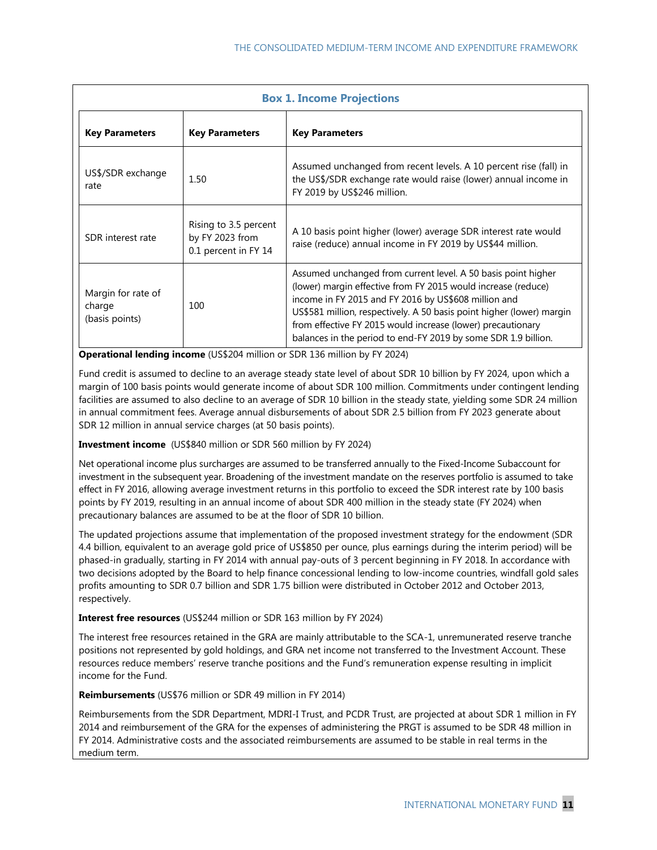| <b>Box 1. Income Projections</b>                      |                                                                  |                                                                                                                                                                                                                                                                                                                                                                                                  |  |  |  |  |  |
|-------------------------------------------------------|------------------------------------------------------------------|--------------------------------------------------------------------------------------------------------------------------------------------------------------------------------------------------------------------------------------------------------------------------------------------------------------------------------------------------------------------------------------------------|--|--|--|--|--|
| <b>Key Parameters</b>                                 | <b>Key Parameters</b>                                            | <b>Key Parameters</b>                                                                                                                                                                                                                                                                                                                                                                            |  |  |  |  |  |
| US\$/SDR exchange<br>rate                             | 1.50                                                             | Assumed unchanged from recent levels. A 10 percent rise (fall) in<br>the US\$/SDR exchange rate would raise (lower) annual income in<br>FY 2019 by US\$246 million.                                                                                                                                                                                                                              |  |  |  |  |  |
| SDR interest rate                                     | Rising to 3.5 percent<br>by FY 2023 from<br>0.1 percent in FY 14 | A 10 basis point higher (lower) average SDR interest rate would<br>raise (reduce) annual income in FY 2019 by US\$44 million.                                                                                                                                                                                                                                                                    |  |  |  |  |  |
| Margin for rate of<br>100<br>charge<br>(basis points) |                                                                  | Assumed unchanged from current level. A 50 basis point higher<br>(lower) margin effective from FY 2015 would increase (reduce)<br>income in FY 2015 and FY 2016 by US\$608 million and<br>US\$581 million, respectively. A 50 basis point higher (lower) margin<br>from effective FY 2015 would increase (lower) precautionary<br>balances in the period to end-FY 2019 by some SDR 1.9 billion. |  |  |  |  |  |

**Operational lending income** (US\$204 million or SDR 136 million by FY 2024)

Fund credit is assumed to decline to an average steady state level of about SDR 10 billion by FY 2024, upon which a margin of 100 basis points would generate income of about SDR 100 million. Commitments under contingent lending facilities are assumed to also decline to an average of SDR 10 billion in the steady state, yielding some SDR 24 million in annual commitment fees. Average annual disbursements of about SDR 2.5 billion from FY 2023 generate about SDR 12 million in annual service charges (at 50 basis points).

**Investment income** (US\$840 million or SDR 560 million by FY 2024)

Net operational income plus surcharges are assumed to be transferred annually to the Fixed-Income Subaccount for investment in the subsequent year. Broadening of the investment mandate on the reserves portfolio is assumed to take effect in FY 2016, allowing average investment returns in this portfolio to exceed the SDR interest rate by 100 basis points by FY 2019, resulting in an annual income of about SDR 400 million in the steady state (FY 2024) when precautionary balances are assumed to be at the floor of SDR 10 billion.

The updated projections assume that implementation of the proposed investment strategy for the endowment (SDR 4.4 billion, equivalent to an average gold price of US\$850 per ounce, plus earnings during the interim period) will be phased-in gradually, starting in FY 2014 with annual pay-outs of 3 percent beginning in FY 2018. In accordance with two decisions adopted by the Board to help finance concessional lending to low-income countries, windfall gold sales profits amounting to SDR 0.7 billion and SDR 1.75 billion were distributed in October 2012 and October 2013, respectively.

**Interest free resources** (US\$244 million or SDR 163 million by FY 2024)

The interest free resources retained in the GRA are mainly attributable to the SCA-1, unremunerated reserve tranche positions not represented by gold holdings, and GRA net income not transferred to the Investment Account. These resources reduce members' reserve tranche positions and the Fund's remuneration expense resulting in implicit income for the Fund.

**Reimbursements** (US\$76 million or SDR 49 million in FY 2014)

Reimbursements from the SDR Department, MDRI-I Trust, and PCDR Trust, are projected at about SDR 1 million in FY 2014 and reimbursement of the GRA for the expenses of administering the PRGT is assumed to be SDR 48 million in FY 2014. Administrative costs and the associated reimbursements are assumed to be stable in real terms in the medium term.